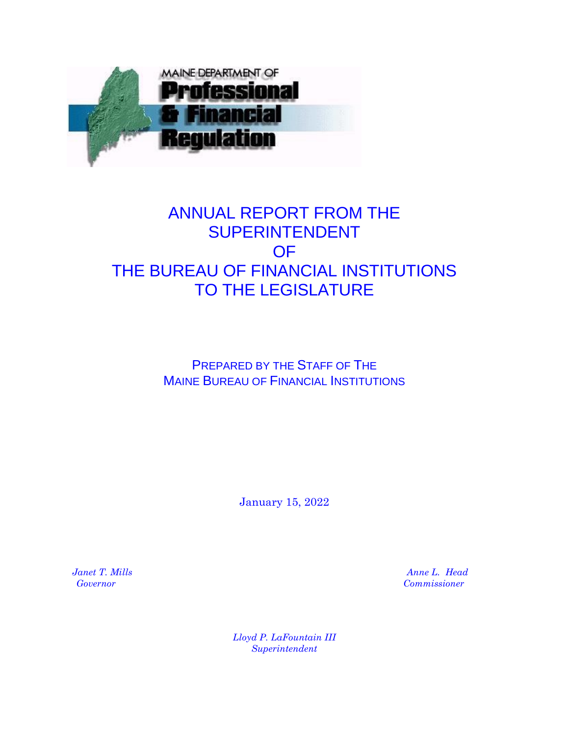

# ANNUAL REPORT FROM THE SUPERINTENDENT OF THE BUREAU OF FINANCIAL INSTITUTIONS TO THE LEGISLATURE

## PREPARED BY THE STAFF OF THE MAINE BUREAU OF FINANCIAL INSTITUTIONS

January 15, 2022

 *Janet T. Mills Anne L. Head Governor Commissioner*

> *Lloyd P. LaFountain III Superintendent*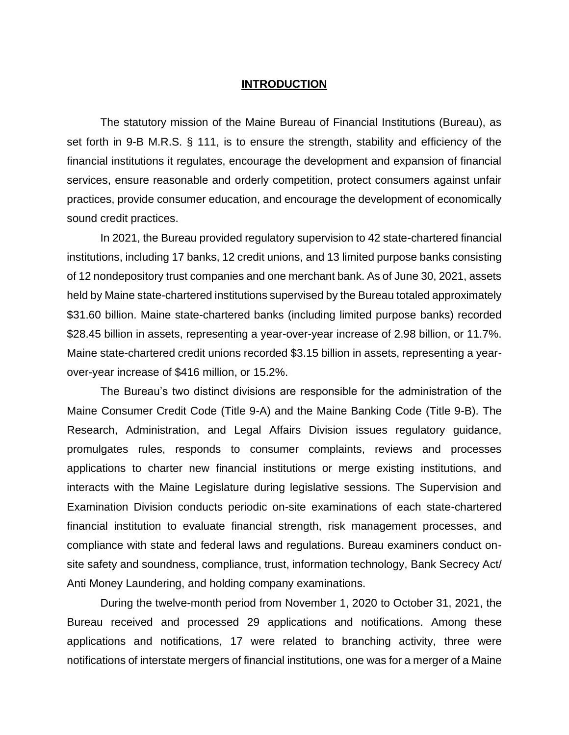### **INTRODUCTION**

The statutory mission of the Maine Bureau of Financial Institutions (Bureau), as set forth in 9-B M.R.S. § 111, is to ensure the strength, stability and efficiency of the financial institutions it regulates, encourage the development and expansion of financial services, ensure reasonable and orderly competition, protect consumers against unfair practices, provide consumer education, and encourage the development of economically sound credit practices.

In 2021, the Bureau provided regulatory supervision to 42 state-chartered financial institutions, including 17 banks, 12 credit unions, and 13 limited purpose banks consisting of 12 nondepository trust companies and one merchant bank. As of June 30, 2021, assets held by Maine state-chartered institutions supervised by the Bureau totaled approximately \$31.60 billion. Maine state-chartered banks (including limited purpose banks) recorded \$28.45 billion in assets, representing a year-over-year increase of 2.98 billion, or 11.7%. Maine state-chartered credit unions recorded \$3.15 billion in assets, representing a yearover-year increase of \$416 million, or 15.2%.

The Bureau's two distinct divisions are responsible for the administration of the Maine Consumer Credit Code (Title 9-A) and the Maine Banking Code (Title 9-B). The Research, Administration, and Legal Affairs Division issues regulatory guidance, promulgates rules, responds to consumer complaints, reviews and processes applications to charter new financial institutions or merge existing institutions, and interacts with the Maine Legislature during legislative sessions. The Supervision and Examination Division conducts periodic on-site examinations of each state-chartered financial institution to evaluate financial strength, risk management processes, and compliance with state and federal laws and regulations. Bureau examiners conduct onsite safety and soundness, compliance, trust, information technology, Bank Secrecy Act/ Anti Money Laundering, and holding company examinations.

During the twelve-month period from November 1, 2020 to October 31, 2021, the Bureau received and processed 29 applications and notifications. Among these applications and notifications, 17 were related to branching activity, three were notifications of interstate mergers of financial institutions, one was for a merger of a Maine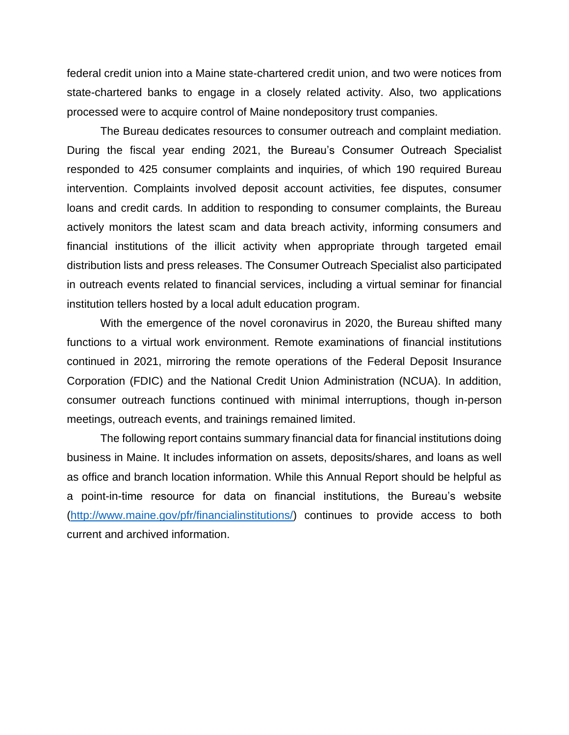federal credit union into a Maine state-chartered credit union, and two were notices from state-chartered banks to engage in a closely related activity. Also, two applications processed were to acquire control of Maine nondepository trust companies.

The Bureau dedicates resources to consumer outreach and complaint mediation. During the fiscal year ending 2021, the Bureau's Consumer Outreach Specialist responded to 425 consumer complaints and inquiries, of which 190 required Bureau intervention. Complaints involved deposit account activities, fee disputes, consumer loans and credit cards. In addition to responding to consumer complaints, the Bureau actively monitors the latest scam and data breach activity, informing consumers and financial institutions of the illicit activity when appropriate through targeted email distribution lists and press releases. The Consumer Outreach Specialist also participated in outreach events related to financial services, including a virtual seminar for financial institution tellers hosted by a local adult education program.

With the emergence of the novel coronavirus in 2020, the Bureau shifted many functions to a virtual work environment. Remote examinations of financial institutions continued in 2021, mirroring the remote operations of the Federal Deposit Insurance Corporation (FDIC) and the National Credit Union Administration (NCUA). In addition, consumer outreach functions continued with minimal interruptions, though in-person meetings, outreach events, and trainings remained limited.

The following report contains summary financial data for financial institutions doing business in Maine. It includes information on assets, deposits/shares, and loans as well as office and branch location information. While this Annual Report should be helpful as a point-in-time resource for data on financial institutions, the Bureau's website [\(http://www.maine.gov/pfr/financialinstitutions/\)](http://www.maine.gov/pfr/financialinstitutions/) continues to provide access to both current and archived information.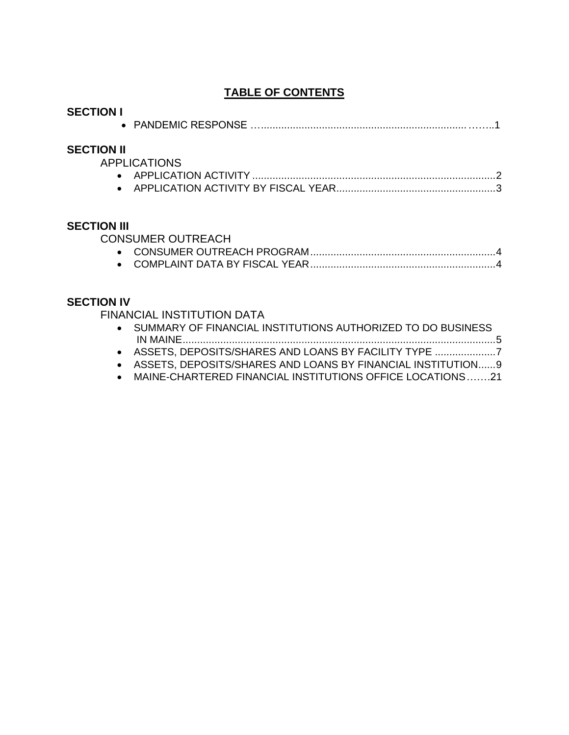## **TABLE OF CONTENTS**

| <b>SECTION I</b>   |                                                                                                                                                                                                                                                                                      |
|--------------------|--------------------------------------------------------------------------------------------------------------------------------------------------------------------------------------------------------------------------------------------------------------------------------------|
| <b>SECTION II</b>  | <b>APPLICATIONS</b>                                                                                                                                                                                                                                                                  |
| <b>SECTION III</b> | <b>CONSUMER OUTREACH</b>                                                                                                                                                                                                                                                             |
| <b>SECTION IV</b>  | <b>FINANCIAL INSTITUTION DATA</b><br>• SUMMARY OF FINANCIAL INSTITUTIONS AUTHORIZED TO DO BUSINESS<br>ASSETS, DEPOSITS/SHARES AND LOANS BY FACILITY TYPE<br>ASSETS, DEPOSITS/SHARES AND LOANS BY FINANCIAL INSTITUTION9<br>MAINE-CHARTERED FINANCIAL INSTITUTIONS OFFICE LOCATIONS21 |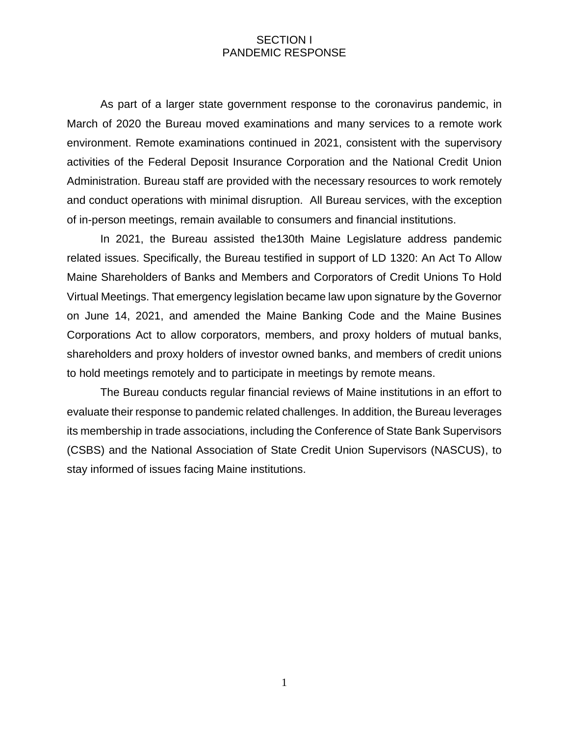## SECTION I PANDEMIC RESPONSE

As part of a larger state government response to the coronavirus pandemic, in March of 2020 the Bureau moved examinations and many services to a remote work environment. Remote examinations continued in 2021, consistent with the supervisory activities of the Federal Deposit Insurance Corporation and the National Credit Union Administration. Bureau staff are provided with the necessary resources to work remotely and conduct operations with minimal disruption. All Bureau services, with the exception of in-person meetings, remain available to consumers and financial institutions.

In 2021, the Bureau assisted the130th Maine Legislature address pandemic related issues. Specifically, the Bureau testified in support of LD 1320: An Act To Allow Maine Shareholders of Banks and Members and Corporators of Credit Unions To Hold Virtual Meetings. That emergency legislation became law upon signature by the Governor on June 14, 2021, and amended the Maine Banking Code and the Maine Busines Corporations Act to allow corporators, members, and proxy holders of mutual banks, shareholders and proxy holders of investor owned banks, and members of credit unions to hold meetings remotely and to participate in meetings by remote means.

The Bureau conducts regular financial reviews of Maine institutions in an effort to evaluate their response to pandemic related challenges. In addition, the Bureau leverages its membership in trade associations, including the Conference of State Bank Supervisors (CSBS) and the National Association of State Credit Union Supervisors (NASCUS), to stay informed of issues facing Maine institutions.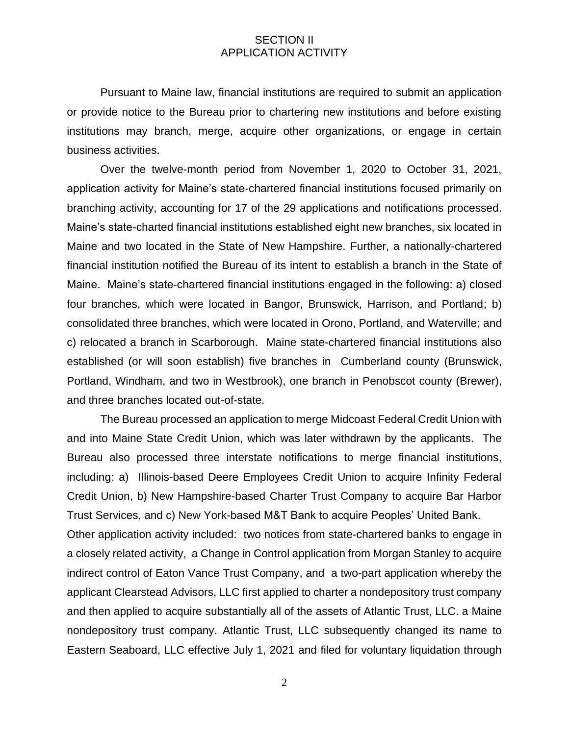## SECTION II APPLICATION ACTIVITY

Pursuant to Maine law, financial institutions are required to submit an application or provide notice to the Bureau prior to chartering new institutions and before existing institutions may branch, merge, acquire other organizations, or engage in certain business activities.

Over the twelve-month period from November 1, 2020 to October 31, 2021, application activity for Maine's state-chartered financial institutions focused primarily on branching activity, accounting for 17 of the 29 applications and notifications processed. Maine's state-charted financial institutions established eight new branches, six located in Maine and two located in the State of New Hampshire. Further, a nationally-chartered financial institution notified the Bureau of its intent to establish a branch in the State of Maine. Maine's state-chartered financial institutions engaged in the following: a) closed four branches, which were located in Bangor, Brunswick, Harrison, and Portland; b) consolidated three branches, which were located in Orono, Portland, and Waterville; and c) relocated a branch in Scarborough. Maine state-chartered financial institutions also established (or will soon establish) five branches in Cumberland county (Brunswick, Portland, Windham, and two in Westbrook), one branch in Penobscot county (Brewer), and three branches located out-of-state.

The Bureau processed an application to merge Midcoast Federal Credit Union with and into Maine State Credit Union, which was later withdrawn by the applicants. The Bureau also processed three interstate notifications to merge financial institutions, including: a) Illinois-based Deere Employees Credit Union to acquire Infinity Federal Credit Union, b) New Hampshire-based Charter Trust Company to acquire Bar Harbor Trust Services, and c) New York-based M&T Bank to acquire Peoples' United Bank. Other application activity included: two notices from state-chartered banks to engage in a closely related activity, a Change in Control application from Morgan Stanley to acquire indirect control of Eaton Vance Trust Company, and a two-part application whereby the applicant Clearstead Advisors, LLC first applied to charter a nondepository trust company and then applied to acquire substantially all of the assets of Atlantic Trust, LLC. a Maine nondepository trust company. Atlantic Trust, LLC subsequently changed its name to Eastern Seaboard, LLC effective July 1, 2021 and filed for voluntary liquidation through

2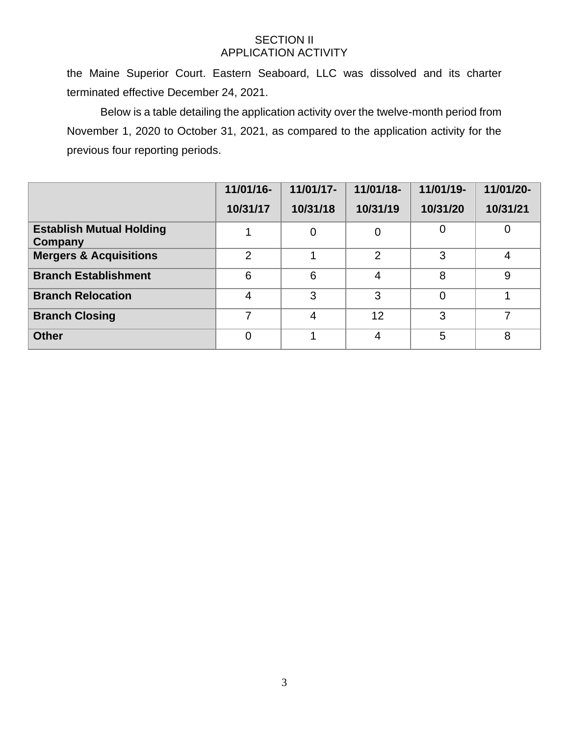## SECTION II APPLICATION ACTIVITY

the Maine Superior Court. Eastern Seaboard, LLC was dissolved and its charter terminated effective December 24, 2021.

Below is a table detailing the application activity over the twelve-month period from November 1, 2020 to October 31, 2021, as compared to the application activity for the previous four reporting periods.

|                                            | 11/01/16-      | 11/01/17-      | 11/01/18-      | 11/01/19-      | 11/01/20-      |
|--------------------------------------------|----------------|----------------|----------------|----------------|----------------|
|                                            | 10/31/17       | 10/31/18       | 10/31/19       | 10/31/20       | 10/31/21       |
| <b>Establish Mutual Holding</b><br>Company |                | $\overline{0}$ | 0              | $\overline{0}$ | $\mathbf 0$    |
| <b>Mergers &amp; Acquisitions</b>          | $\overline{2}$ |                | $\overline{2}$ | 3              | $\overline{4}$ |
| <b>Branch Establishment</b>                | 6              | 6              | 4              | 8              | 9              |
| <b>Branch Relocation</b>                   | 4              | 3              | 3              | $\overline{0}$ |                |
| <b>Branch Closing</b>                      | 7              | 4              | 12             | 3              | 7              |
| <b>Other</b>                               | 0              |                | 4              | 5              | 8              |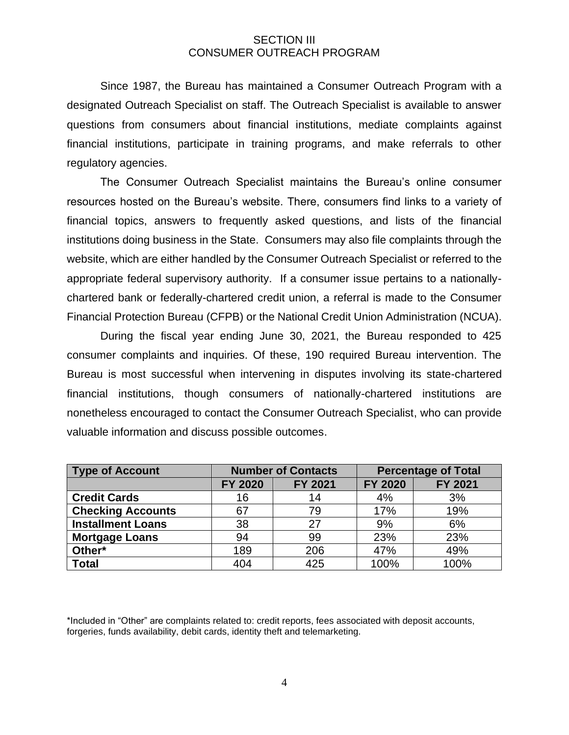## SECTION III CONSUMER OUTREACH PROGRAM

Since 1987, the Bureau has maintained a Consumer Outreach Program with a designated Outreach Specialist on staff. The Outreach Specialist is available to answer questions from consumers about financial institutions, mediate complaints against financial institutions, participate in training programs, and make referrals to other regulatory agencies.

The Consumer Outreach Specialist maintains the Bureau's online consumer resources hosted on the Bureau's website. There, consumers find links to a variety of financial topics, answers to frequently asked questions, and lists of the financial institutions doing business in the State. Consumers may also file complaints through the website, which are either handled by the Consumer Outreach Specialist or referred to the appropriate federal supervisory authority. If a consumer issue pertains to a nationallychartered bank or federally-chartered credit union, a referral is made to the Consumer Financial Protection Bureau (CFPB) or the National Credit Union Administration (NCUA).

During the fiscal year ending June 30, 2021, the Bureau responded to 425 consumer complaints and inquiries. Of these, 190 required Bureau intervention. The Bureau is most successful when intervening in disputes involving its state-chartered financial institutions, though consumers of nationally-chartered institutions are nonetheless encouraged to contact the Consumer Outreach Specialist, who can provide valuable information and discuss possible outcomes.

| <b>Type of Account</b>   | <b>Number of Contacts</b> |                |                | <b>Percentage of Total</b> |
|--------------------------|---------------------------|----------------|----------------|----------------------------|
|                          | <b>FY 2020</b>            | <b>FY 2021</b> | <b>FY 2020</b> | <b>FY 2021</b>             |
| <b>Credit Cards</b>      | 16                        | 14             | 4%             | 3%                         |
| <b>Checking Accounts</b> | 67                        | 79             | 17%            | 19%                        |
| <b>Installment Loans</b> | 38                        | 27             | 9%             | 6%                         |
| <b>Mortgage Loans</b>    | 94                        | 99             | 23%            | 23%                        |
| Other*                   | 189                       | 206            | 47%            | 49%                        |
| <b>Total</b>             | 404                       | 425            | 100%           | 100%                       |

\*Included in "Other" are complaints related to: credit reports, fees associated with deposit accounts, forgeries, funds availability, debit cards, identity theft and telemarketing.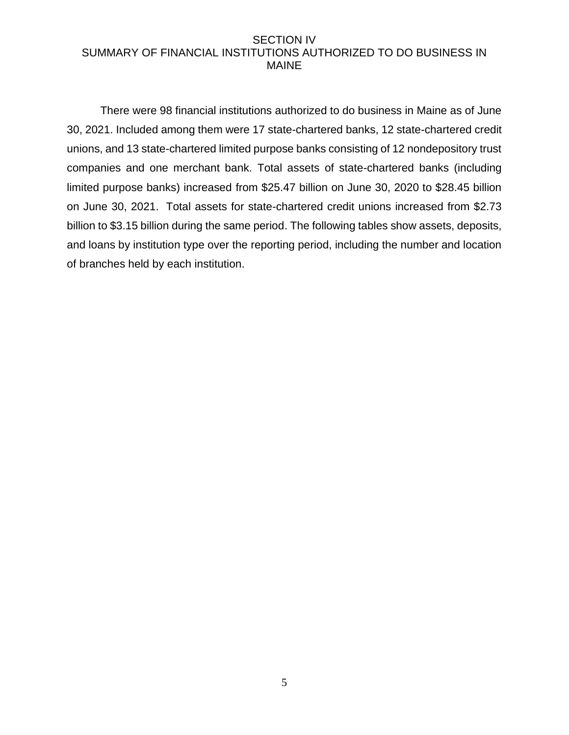## SECTION IV SUMMARY OF FINANCIAL INSTITUTIONS AUTHORIZED TO DO BUSINESS IN MAINE

There were 98 financial institutions authorized to do business in Maine as of June 30, 2021. Included among them were 17 state-chartered banks, 12 state-chartered credit unions, and 13 state-chartered limited purpose banks consisting of 12 nondepository trust companies and one merchant bank. Total assets of state-chartered banks (including limited purpose banks) increased from \$25.47 billion on June 30, 2020 to \$28.45 billion on June 30, 2021. Total assets for state-chartered credit unions increased from \$2.73 billion to \$3.15 billion during the same period. The following tables show assets, deposits, and loans by institution type over the reporting period, including the number and location of branches held by each institution.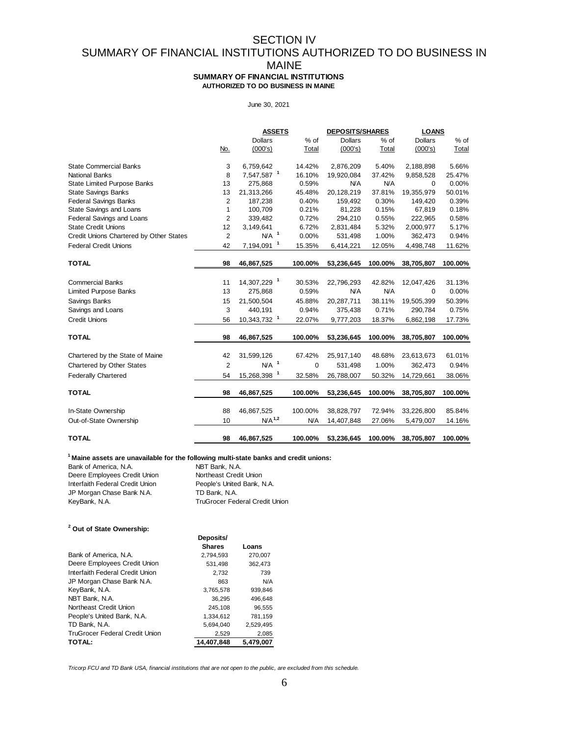## SECTION IV SUMMARY OF FINANCIAL INSTITUTIONS AUTHORIZED TO DO BUSINESS IN MAINE

**SUMMARY OF FINANCIAL INSTITUTIONS AUTHORIZED TO DO BUSINESS IN MAINE**

#### June 30, 2021

|                                         |                | <b>ASSETS</b>           |            | <b>DEPOSITS/SHARES</b> |            | <b>LOANS</b>   |         |
|-----------------------------------------|----------------|-------------------------|------------|------------------------|------------|----------------|---------|
|                                         |                | <b>Dollars</b>          | % of       | <b>Dollars</b>         | % of       | <b>Dollars</b> | $%$ of  |
|                                         | No.            | (000's)                 | Total      | (000's)                | Total      | (000's)        | Total   |
| <b>State Commercial Banks</b>           | 3              | 6,759,642               | 14.42%     | 2,876,209              | 5.40%      | 2,188,898      | 5.66%   |
| <b>National Banks</b>                   | 8              | 7,547,587 <sup>1</sup>  | 16.10%     | 19,920,084             | 37.42%     | 9,858,528      | 25.47%  |
| <b>State Limited Purpose Banks</b>      | 13             | 275,868                 | 0.59%      | <b>N/A</b>             | <b>N/A</b> | $\Omega$       | 0.00%   |
| <b>State Savings Banks</b>              | 13             | 21,313,266              | 45.48%     | 20,128,219             | 37.81%     | 19,355,979     | 50.01%  |
| <b>Federal Savings Banks</b>            | $\overline{2}$ | 187,238                 | 0.40%      | 159,492                | 0.30%      | 149,420        | 0.39%   |
| State Savings and Loans                 | 1              | 100,709                 | 0.21%      | 81,228                 | 0.15%      | 67,819         | 0.18%   |
| Federal Savings and Loans               | $\overline{2}$ | 339,482                 | 0.72%      | 294,210                | 0.55%      | 222,965        | 0.58%   |
| <b>State Credit Unions</b>              | 12             | 3,149,641               | 6.72%      | 2,831,484              | 5.32%      | 2,000,977      | 5.17%   |
| Credit Unions Chartered by Other States | $\overline{2}$ | $N/A$ <sup>1</sup>      | 0.00%      | 531,498                | 1.00%      | 362,473        | 0.94%   |
| <b>Federal Credit Unions</b>            | 42             | 7,194,091 <sup>1</sup>  | 15.35%     | 6,414,221              | 12.05%     | 4,498,748      | 11.62%  |
| <b>TOTAL</b>                            | 98             | 46,867,525              | 100.00%    | 53,236,645             | 100.00%    | 38,705,807     | 100.00% |
|                                         |                |                         |            |                        |            |                |         |
| <b>Commercial Banks</b>                 | 11             | 14,307,229 1            | 30.53%     | 22,796,293             | 42.82%     | 12,047,426     | 31.13%  |
| <b>Limited Purpose Banks</b>            | 13             | 275,868                 | 0.59%      | <b>N/A</b>             | <b>N/A</b> | $\Omega$       | 0.00%   |
| Savings Banks                           | 15             | 21,500,504              | 45.88%     | 20,287,711             | 38.11%     | 19,505,399     | 50.39%  |
| Savings and Loans                       | 3              | 440,191                 | 0.94%      | 375,438                | 0.71%      | 290,784        | 0.75%   |
| <b>Credit Unions</b>                    | 56             | 10,343,732 <sup>1</sup> | 22.07%     | 9,777,203              | 18.37%     | 6,862,198      | 17.73%  |
| <b>TOTAL</b>                            | 98             | 46,867,525              | 100.00%    | 53,236,645             | 100.00%    | 38,705,807     | 100.00% |
| Chartered by the State of Maine         | 42             | 31,599,126              | 67.42%     | 25,917,140             | 48.68%     | 23,613,673     | 61.01%  |
| Chartered by Other States               | $\overline{2}$ | $N/A$ <sup>1</sup>      | 0          | 531,498                | 1.00%      | 362,473        | 0.94%   |
| <b>Federally Chartered</b>              | 54             | 15,268,398 1            | 32.58%     | 26,788,007             | 50.32%     | 14,729,661     | 38.06%  |
| <b>TOTAL</b>                            | 98             | 46,867,525              | 100.00%    | 53,236,645             | 100.00%    | 38,705,807     | 100.00% |
| In-State Ownership                      | 88             | 46,867,525              | 100.00%    | 38,828,797             | 72.94%     | 33,226,800     | 85.84%  |
|                                         |                | $N/A$ <sup>1,2</sup>    |            |                        |            |                |         |
| Out-of-State Ownership                  | 10             |                         | <b>N/A</b> | 14,407,848             | 27.06%     | 5,479,007      | 14.16%  |
| <b>TOTAL</b>                            | 98             | 46,867,525              | 100.00%    | 53,236,645             | 100.00%    | 38,705,807     | 100.00% |

#### **<sup>1</sup>Maine assets are unavailable for the following multi-state banks and credit unions:**

| Bank of America, N.A.           | NBT Bank, N.A.                        |
|---------------------------------|---------------------------------------|
| Deere Employees Credit Union    | Northeast Credit Union                |
| Interfaith Federal Credit Union | People's United Bank, N.A.            |
| JP Morgan Chase Bank N.A.       | TD Bank, N.A.                         |
| KeyBank, N.A.                   | <b>TruGrocer Federal Credit Union</b> |

#### **2 Out of State Ownership:**

|                                 | Deposits/     |           |
|---------------------------------|---------------|-----------|
|                                 | <b>Shares</b> | Loans     |
| Bank of America, N.A.           | 2.794.593     | 270,007   |
| Deere Employees Credit Union    | 531.498       | 362,473   |
| Interfaith Federal Credit Union | 2,732         | 739       |
| JP Morgan Chase Bank N.A.       | 863           | N/A       |
| KeyBank, N.A.                   | 3.765.578     | 939,846   |
| NBT Bank, N.A.                  | 36,295        | 496,648   |
| Northeast Credit Union          | 245,108       | 96,555    |
| People's United Bank, N.A.      | 1.334.612     | 781,159   |
| TD Bank, N.A.                   | 5.694.040     | 2.529.495 |
| TruGrocer Federal Credit Union  | 2,529         | 2,085     |
| <b>TOTAL:</b>                   | 14.407.848    | 5,479,007 |

*Tricorp FCU and TD Bank USA, financial institutions that are not open to the public, are excluded from this schedule.*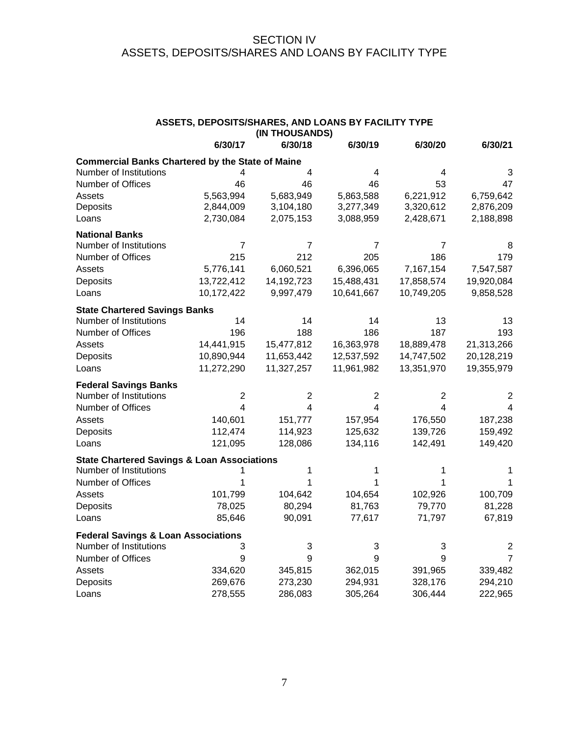## SECTION IV ASSETS, DEPOSITS/SHARES AND LOANS BY FACILITY TYPE

| ASSETS, DEPOSITS/SHARES, AND LOANS BY FACILITY TYPE<br>(IN THOUSANDS) |              |            |                |              |                |  |
|-----------------------------------------------------------------------|--------------|------------|----------------|--------------|----------------|--|
|                                                                       | 6/30/17      | 6/30/18    | 6/30/19        | 6/30/20      | 6/30/21        |  |
| <b>Commercial Banks Chartered by the State of Maine</b>               |              |            |                |              |                |  |
| Number of Institutions                                                | 4            | 4          | 4              | 4            | 3              |  |
| Number of Offices                                                     | 46           | 46         | 46             | 53           | 47             |  |
| Assets                                                                | 5,563,994    | 5,683,949  | 5,863,588      | 6,221,912    | 6,759,642      |  |
| Deposits                                                              | 2,844,009    | 3,104,180  | 3,277,349      | 3,320,612    | 2,876,209      |  |
| Loans                                                                 | 2,730,084    | 2,075,153  | 3,088,959      | 2,428,671    | 2,188,898      |  |
| <b>National Banks</b>                                                 |              |            |                |              |                |  |
| Number of Institutions                                                | 7            | 7          | 7              | 7            | 8              |  |
| Number of Offices                                                     | 215          | 212        | 205            | 186          | 179            |  |
| Assets                                                                | 5,776,141    | 6,060,521  | 6,396,065      | 7,167,154    | 7,547,587      |  |
| Deposits                                                              | 13,722,412   | 14,192,723 | 15,488,431     | 17,858,574   | 19,920,084     |  |
| Loans                                                                 | 10,172,422   | 9,997,479  | 10,641,667     | 10,749,205   | 9,858,528      |  |
| <b>State Chartered Savings Banks</b>                                  |              |            |                |              |                |  |
| Number of Institutions                                                | 14           | 14         | 14             | 13           | 13             |  |
| Number of Offices                                                     | 196          | 188        | 186            | 187          | 193            |  |
| Assets                                                                | 14,441,915   | 15,477,812 | 16,363,978     | 18,889,478   | 21,313,266     |  |
| Deposits                                                              | 10,890,944   | 11,653,442 | 12,537,592     | 14,747,502   | 20,128,219     |  |
| Loans                                                                 | 11,272,290   | 11,327,257 | 11,961,982     | 13,351,970   | 19,355,979     |  |
| <b>Federal Savings Banks</b>                                          |              |            |                |              |                |  |
| Number of Institutions                                                | $\mathbf{2}$ | 2          | $\overline{2}$ | $\mathbf{2}$ | 2              |  |
| Number of Offices                                                     | 4            | 4          | 4              | 4            | 4              |  |
| Assets                                                                | 140,601      | 151,777    | 157,954        | 176,550      | 187,238        |  |
| Deposits                                                              | 112,474      | 114,923    | 125,632        | 139,726      | 159,492        |  |
| Loans                                                                 | 121,095      | 128,086    | 134,116        | 142,491      | 149,420        |  |
| <b>State Chartered Savings &amp; Loan Associations</b>                |              |            |                |              |                |  |
| Number of Institutions                                                |              | 1          | 1              | 1            | 1              |  |
| Number of Offices                                                     | 1            | 1          | 1              | 1            | 1              |  |
| Assets                                                                | 101,799      | 104,642    | 104,654        | 102,926      | 100,709        |  |
| Deposits                                                              | 78,025       | 80,294     | 81,763         | 79,770       | 81,228         |  |
| Loans                                                                 | 85,646       | 90,091     | 77,617         | 71,797       | 67,819         |  |
| <b>Federal Savings &amp; Loan Associations</b>                        |              |            |                |              |                |  |
| Number of Institutions                                                | 3            | 3          | 3              | 3            | 2              |  |
| Number of Offices                                                     | 9            | 9          | 9              | 9            | $\overline{7}$ |  |
| Assets                                                                | 334,620      | 345,815    | 362,015        | 391,965      | 339,482        |  |
| Deposits                                                              | 269,676      | 273,230    | 294,931        | 328,176      | 294,210        |  |
| Loans                                                                 | 278,555      | 286,083    | 305,264        | 306,444      | 222,965        |  |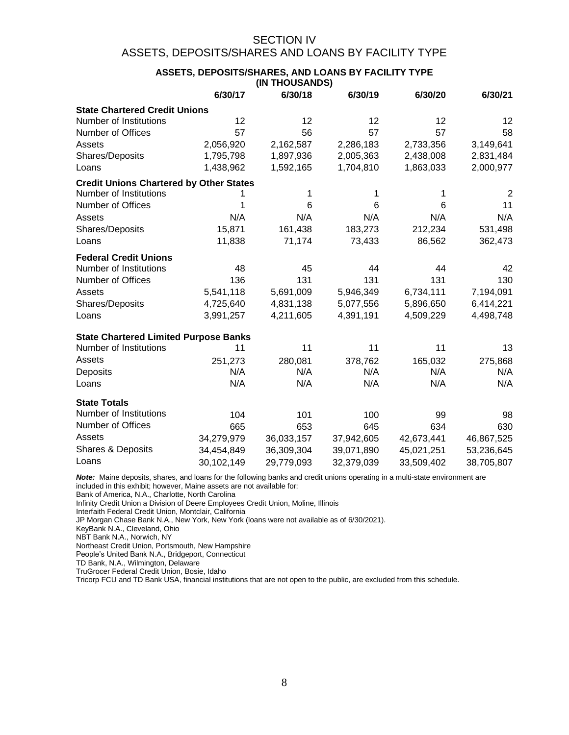## SECTION IV ASSETS, DEPOSITS/SHARES AND LOANS BY FACILITY TYPE

#### **ASSETS, DEPOSITS/SHARES, AND LOANS BY FACILITY TYPE (IN THOUSANDS)**

|                                                | 6/30/17    | 6/30/18    | 6/30/19    | 6/30/20    | 6/30/21    |
|------------------------------------------------|------------|------------|------------|------------|------------|
| <b>State Chartered Credit Unions</b>           |            |            |            |            |            |
| Number of Institutions                         | 12         | 12         | 12         | 12         | 12         |
| Number of Offices                              | 57         | 56         | 57         | 57         | 58         |
| Assets                                         | 2,056,920  | 2,162,587  | 2,286,183  | 2,733,356  | 3,149,641  |
| Shares/Deposits                                | 1,795,798  | 1,897,936  | 2,005,363  | 2,438,008  | 2,831,484  |
| Loans                                          | 1,438,962  | 1,592,165  | 1,704,810  | 1,863,033  | 2,000,977  |
| <b>Credit Unions Chartered by Other States</b> |            |            |            |            |            |
| Number of Institutions                         |            |            | 1          | 1          | 2          |
| Number of Offices                              |            | 6          | 6          | 6          | 11         |
| Assets                                         | N/A        | N/A        | N/A        | N/A        | N/A        |
| Shares/Deposits                                | 15,871     | 161,438    | 183,273    | 212,234    | 531,498    |
| Loans                                          | 11,838     | 71,174     | 73,433     | 86,562     | 362,473    |
| <b>Federal Credit Unions</b>                   |            |            |            |            |            |
| Number of Institutions                         | 48         | 45         | 44         | 44         | 42         |
| Number of Offices                              | 136        | 131        | 131        | 131        | 130        |
| Assets                                         | 5,541,118  | 5,691,009  | 5,946,349  | 6,734,111  | 7,194,091  |
| Shares/Deposits                                | 4,725,640  | 4,831,138  | 5,077,556  | 5,896,650  | 6,414,221  |
| Loans                                          | 3,991,257  | 4,211,605  | 4,391,191  | 4,509,229  | 4,498,748  |
| <b>State Chartered Limited Purpose Banks</b>   |            |            |            |            |            |
| Number of Institutions                         | 11         | 11         | 11         | 11         | 13         |
| Assets                                         | 251,273    | 280,081    | 378,762    | 165,032    | 275,868    |
| Deposits                                       | N/A        | N/A        | N/A        | N/A        | N/A        |
| Loans                                          | N/A        | N/A        | N/A        | N/A        | N/A        |
| <b>State Totals</b>                            |            |            |            |            |            |
| Number of Institutions                         | 104        | 101        | 100        | 99         | 98         |
| Number of Offices                              | 665        | 653        | 645        | 634        | 630        |
| Assets                                         | 34,279,979 | 36,033,157 | 37,942,605 | 42,673,441 | 46,867,525 |
| Shares & Deposits                              | 34,454,849 | 36,309,304 | 39,071,890 | 45,021,251 | 53,236,645 |
| Loans                                          | 30,102,149 | 29,779,093 | 32,379,039 | 33,509,402 | 38,705,807 |

*Note:* Maine deposits, shares, and loans for the following banks and credit unions operating in a multi-state environment are included in this exhibit; however, Maine assets are not available for:

Bank of America, N.A., Charlotte, North Carolina

Infinity Credit Union a Division of Deere Employees Credit Union, Moline, Illinois

Interfaith Federal Credit Union, Montclair, California

JP Morgan Chase Bank N.A., New York, New York (loans were not available as of 6/30/2021).

KeyBank N.A., Cleveland, Ohio

NBT Bank N.A., Norwich, NY

Northeast Credit Union, Portsmouth, New Hampshire

People's United Bank N.A., Bridgeport, Connecticut

TD Bank, N.A., Wilmington, Delaware

TruGrocer Federal Credit Union, Bosie, Idaho

Tricorp FCU and TD Bank USA, financial institutions that are not open to the public, are excluded from this schedule.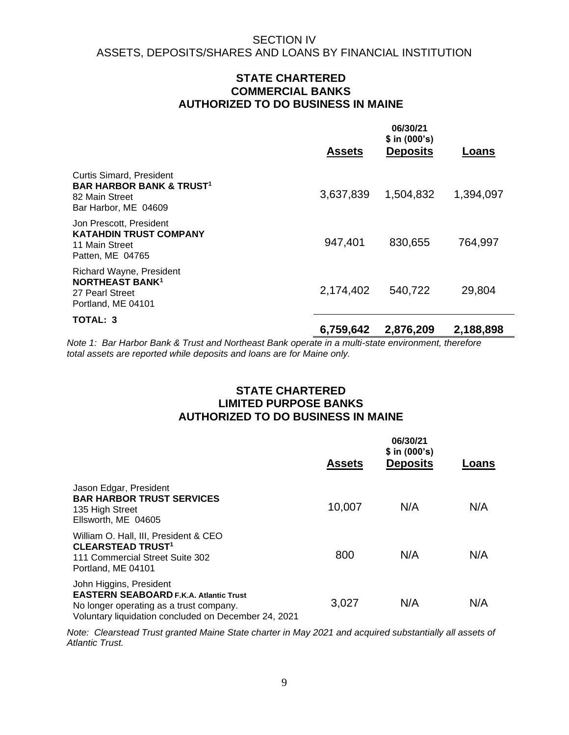## **STATE CHARTERED COMMERCIAL BANKS AUTHORIZED TO DO BUSINESS IN MAINE**

|                                                                                                                             | <b>Assets</b> | 06/30/21<br>\$ in (000's)<br><b>Deposits</b> | Loans     |
|-----------------------------------------------------------------------------------------------------------------------------|---------------|----------------------------------------------|-----------|
| <b>Curtis Simard, President</b><br><b>BAR HARBOR BANK &amp; TRUST<sup>1</sup></b><br>82 Main Street<br>Bar Harbor, ME 04609 | 3,637,839     | 1,504,832                                    | 1,394,097 |
| Jon Prescott, President<br><b>KATAHDIN TRUST COMPANY</b><br>11 Main Street<br>Patten, ME 04765                              | 947,401       | 830,655                                      | 764,997   |
| <b>Richard Wayne, President</b><br><b>NORTHEAST BANK1</b><br>27 Pearl Street<br>Portland, ME 04101                          | 2,174,402     | 540,722                                      | 29,804    |
| TOTAL: 3                                                                                                                    | 6,759,642     | 2,876,209                                    | 2,188,898 |

*Note 1: Bar Harbor Bank & Trust and Northeast Bank operate in a multi-state environment, therefore total assets are reported while deposits and loans are for Maine only.*

## **STATE CHARTERED LIMITED PURPOSE BANKS AUTHORIZED TO DO BUSINESS IN MAINE**

|                                                                                                                                                                             | <b>Assets</b> | 06/30/21<br>$$$ in (000's)<br><b>Deposits</b> | Loans |
|-----------------------------------------------------------------------------------------------------------------------------------------------------------------------------|---------------|-----------------------------------------------|-------|
| Jason Edgar, President<br><b>BAR HARBOR TRUST SERVICES</b><br>135 High Street<br>Ellsworth, ME 04605                                                                        | 10,007        | N/A                                           | N/A   |
| William O. Hall, III, President & CEO<br><b>CLEARSTEAD TRUST<sup>1</sup></b><br>111 Commercial Street Suite 302<br>Portland, ME 04101                                       | 800           | N/A                                           | N/A   |
| John Higgins, President<br><b>EASTERN SEABOARD F.K.A. Atlantic Trust</b><br>No longer operating as a trust company.<br>Voluntary liquidation concluded on December 24, 2021 | 3,027         | N/A                                           | N/A   |

*Note: Clearstead Trust granted Maine State charter in May 2021 and acquired substantially all assets of Atlantic Trust.*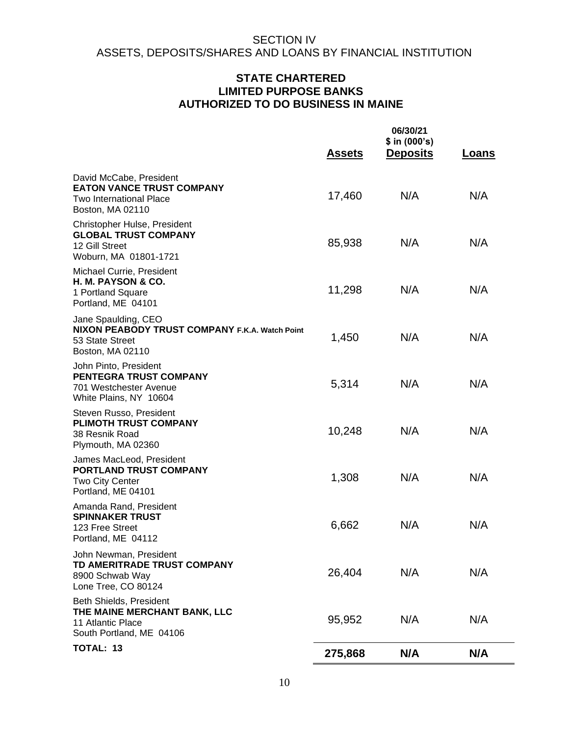## **STATE CHARTERED LIMITED PURPOSE BANKS AUTHORIZED TO DO BUSINESS IN MAINE**

|                                                                                                              | <b>Assets</b> | 06/30/21<br>\$ in (000's)<br><b>Deposits</b> | <b>Loans</b> |
|--------------------------------------------------------------------------------------------------------------|---------------|----------------------------------------------|--------------|
| David McCabe, President<br><b>EATON VANCE TRUST COMPANY</b><br>Two International Place<br>Boston, MA 02110   | 17,460        | N/A                                          | N/A          |
| Christopher Hulse, President<br><b>GLOBAL TRUST COMPANY</b><br>12 Gill Street<br>Woburn, MA 01801-1721       | 85,938        | N/A                                          | N/A          |
| Michael Currie, President<br>H. M. PAYSON & CO.<br>1 Portland Square<br>Portland, ME 04101                   | 11,298        | N/A                                          | N/A          |
| Jane Spaulding, CEO<br>NIXON PEABODY TRUST COMPANY F.K.A. Watch Point<br>53 State Street<br>Boston, MA 02110 | 1,450         | N/A                                          | N/A          |
| John Pinto, President<br><b>PENTEGRA TRUST COMPANY</b><br>701 Westchester Avenue<br>White Plains, NY 10604   | 5,314         | N/A                                          | N/A          |
| Steven Russo, President<br><b>PLIMOTH TRUST COMPANY</b><br>38 Resnik Road<br>Plymouth, MA 02360              | 10,248        | N/A                                          | N/A          |
| James MacLeod, President<br><b>PORTLAND TRUST COMPANY</b><br><b>Two City Center</b><br>Portland, ME 04101    | 1,308         | N/A                                          | N/A          |
| Amanda Rand, President<br><b>SPINNAKER TRUST</b><br>123 Free Street<br>Portland, ME 04112                    | 6,662         | N/A                                          | N/A          |
| John Newman, President<br>TD AMERITRADE TRUST COMPANY<br>8900 Schwab Way<br>Lone Tree, CO 80124              | 26,404        | N/A                                          | N/A          |
| Beth Shields, President<br>THE MAINE MERCHANT BANK, LLC<br>11 Atlantic Place<br>South Portland, ME 04106     | 95,952        | N/A                                          | N/A          |
| <b>TOTAL: 13</b>                                                                                             | 275,868       | N/A                                          | N/A          |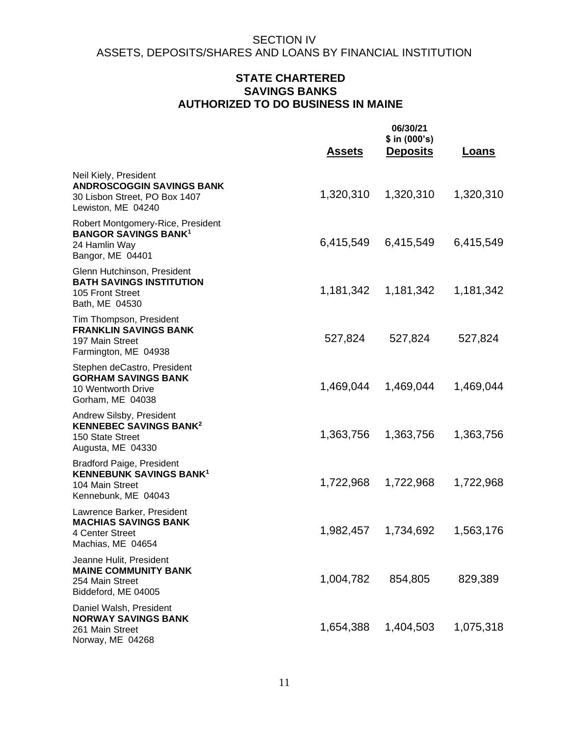## **STATE CHARTERED SAVINGS BANKS AUTHORIZED TO DO BUSINESS IN MAINE**

|                                                                                                                  | <u>Assets</u> | 06/30/21<br>\$ in (000's)<br><b>Deposits</b> | <b>Loans</b> |
|------------------------------------------------------------------------------------------------------------------|---------------|----------------------------------------------|--------------|
| Neil Kiely, President<br><b>ANDROSCOGGIN SAVINGS BANK</b><br>30 Lisbon Street, PO Box 1407<br>Lewiston, ME 04240 | 1,320,310     | 1,320,310                                    | 1,320,310    |
| Robert Montgomery-Rice, President<br><b>BANGOR SAVINGS BANK<sup>1</sup></b><br>24 Hamlin Way<br>Bangor, ME 04401 | 6,415,549     | 6,415,549                                    | 6,415,549    |
| Glenn Hutchinson, President<br><b>BATH SAVINGS INSTITUTION</b><br>105 Front Street<br>Bath, ME 04530             |               |                                              | 1,181,342    |
| Tim Thompson, President<br><b>FRANKLIN SAVINGS BANK</b><br>197 Main Street<br>Farmington, ME 04938               | 527,824       | 527,824                                      | 527,824      |
| Stephen deCastro, President<br><b>GORHAM SAVINGS BANK</b><br>10 Wentworth Drive<br>Gorham, ME 04038              | 1,469,044     | 1,469,044                                    | 1,469,044    |
| Andrew Silsby, President<br><b>KENNEBEC SAVINGS BANK<sup>2</sup></b><br>150 State Street<br>Augusta, ME 04330    | 1,363,756     | 1,363,756                                    | 1,363,756    |
| <b>Bradford Paige, President</b><br><b>KENNEBUNK SAVINGS BANK1</b><br>104 Main Street<br>Kennebunk, ME 04043     | 1,722,968     | 1,722,968                                    | 1,722,968    |
| Lawrence Barker, President<br><b>MACHIAS SAVINGS BANK</b><br>4 Center Street<br>Machias, ME 04654                |               |                                              | 1,563,176    |
| Jeanne Hulit, President<br><b>MAINE COMMUNITY BANK</b><br>254 Main Street<br>Biddeford, ME 04005                 | 1,004,782     | 854,805                                      | 829,389      |
| Daniel Walsh, President<br><b>NORWAY SAVINGS BANK</b><br>261 Main Street<br>Norway, ME 04268                     | 1,654,388     | 1,404,503                                    | 1,075,318    |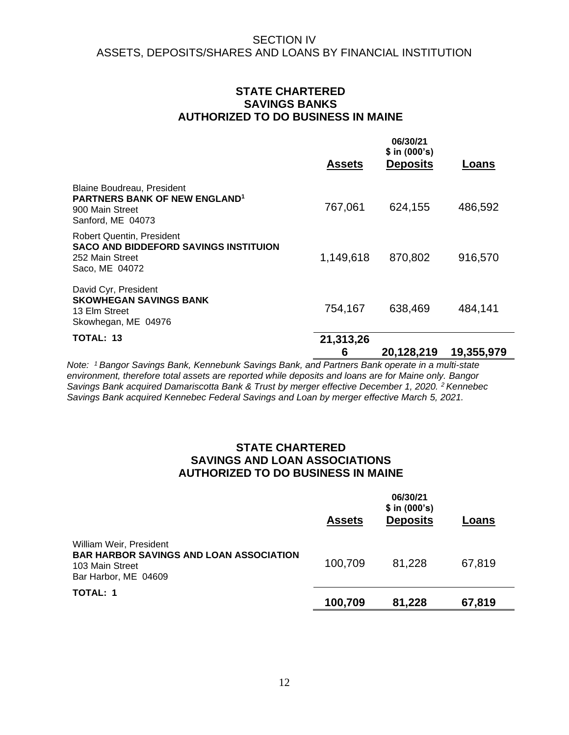## **STATE CHARTERED SAVINGS BANKS AUTHORIZED TO DO BUSINESS IN MAINE**

|                                                                                                                              | <b>Assets</b>  | 06/30/21<br>$$$ in (000's)<br><b>Deposits</b> | Loans      |
|------------------------------------------------------------------------------------------------------------------------------|----------------|-----------------------------------------------|------------|
| <b>Blaine Boudreau, President</b><br><b>PARTNERS BANK OF NEW ENGLAND<sup>1</sup></b><br>900 Main Street<br>Sanford, ME 04073 | 767,061        | 624,155                                       | 486,592    |
| <b>Robert Quentin, President</b><br>SACO AND BIDDEFORD SAVINGS INSTITUION<br>252 Main Street<br>Saco, ME 04072               | 1,149,618      | 870,802                                       | 916,570    |
| David Cyr, President<br><b>SKOWHEGAN SAVINGS BANK</b><br>13 Elm Street<br>Skowhegan, ME 04976                                | 754,167        | 638,469                                       | 484,141    |
| TOTAL: 13                                                                                                                    | 21,313,26<br>6 | 20,128,219                                    | 19,355,979 |

*Note: <sup>1</sup>Bangor Savings Bank, Kennebunk Savings Bank, and Partners Bank operate in a multi-state environment, therefore total assets are reported while deposits and loans are for Maine only. Bangor Savings Bank acquired Damariscotta Bank & Trust by merger effective December 1, 2020. <sup>2</sup> Kennebec Savings Bank acquired Kennebec Federal Savings and Loan by merger effective March 5, 2021.*

## **STATE CHARTERED SAVINGS AND LOAN ASSOCIATIONS AUTHORIZED TO DO BUSINESS IN MAINE**

|                                                                                                                      | <b>Assets</b> | 06/30/21<br>\$ in (000's)<br><b>Deposits</b> | Loans  |
|----------------------------------------------------------------------------------------------------------------------|---------------|----------------------------------------------|--------|
| William Weir, President<br><b>BAR HARBOR SAVINGS AND LOAN ASSOCIATION</b><br>103 Main Street<br>Bar Harbor, ME 04609 | 100,709       | 81,228                                       | 67,819 |
| <b>TOTAL: 1</b>                                                                                                      | 100,709       | 81,228                                       | 67,819 |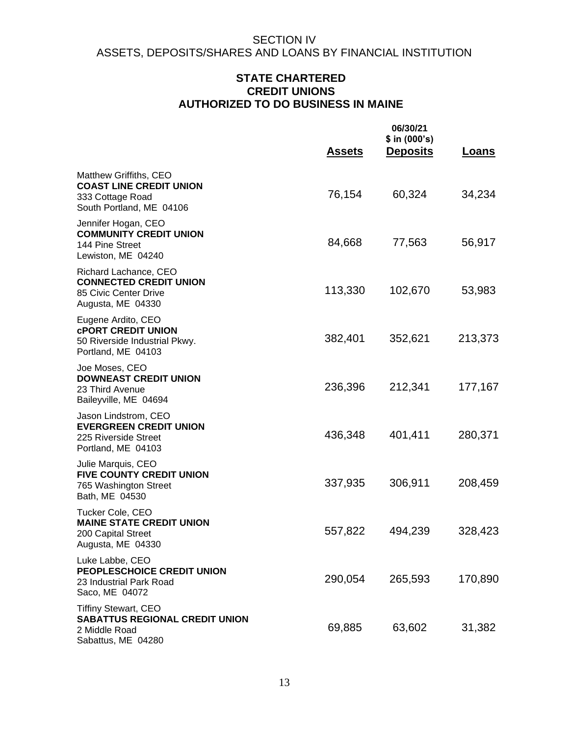## **STATE CHARTERED CREDIT UNIONS AUTHORIZED TO DO BUSINESS IN MAINE**

|                                                                                                             | <u>Assets</u> | 06/30/21<br>\$ in (000's)<br><b>Deposits</b> | Loans   |
|-------------------------------------------------------------------------------------------------------------|---------------|----------------------------------------------|---------|
| Matthew Griffiths, CEO<br><b>COAST LINE CREDIT UNION</b><br>333 Cottage Road<br>South Portland, ME 04106    | 76,154        | 60,324                                       | 34,234  |
| Jennifer Hogan, CEO<br><b>COMMUNITY CREDIT UNION</b><br>144 Pine Street<br>Lewiston, ME 04240               | 84,668        | 77,563                                       | 56,917  |
| Richard Lachance, CEO<br><b>CONNECTED CREDIT UNION</b><br>85 Civic Center Drive<br>Augusta, ME 04330        | 113,330       | 102,670                                      | 53,983  |
| Eugene Ardito, CEO<br><b>CPORT CREDIT UNION</b><br>50 Riverside Industrial Pkwy.<br>Portland, ME 04103      | 382,401       | 352,621                                      | 213,373 |
| Joe Moses, CEO<br><b>DOWNEAST CREDIT UNION</b><br>23 Third Avenue<br>Baileyville, ME 04694                  | 236,396       | 212,341                                      | 177,167 |
| Jason Lindstrom, CEO<br><b>EVERGREEN CREDIT UNION</b><br>225 Riverside Street<br>Portland, ME 04103         | 436,348       | 401,411                                      | 280,371 |
| Julie Marquis, CEO<br><b>FIVE COUNTY CREDIT UNION</b><br>765 Washington Street<br>Bath, ME 04530            | 337,935       | 306,911                                      | 208,459 |
| Tucker Cole, CEO<br><b>MAINE STATE CREDIT UNION</b><br>200 Capital Street<br>Augusta, ME 04330              | 557,822       | 494,239                                      | 328,423 |
| Luke Labbe, CEO<br>PEOPLESCHOICE CREDIT UNION<br>23 Industrial Park Road<br>Saco, ME 04072                  | 290,054       | 265,593                                      | 170,890 |
| <b>Tiffiny Stewart, CEO</b><br><b>SABATTUS REGIONAL CREDIT UNION</b><br>2 Middle Road<br>Sabattus, ME 04280 | 69,885        | 63,602                                       | 31,382  |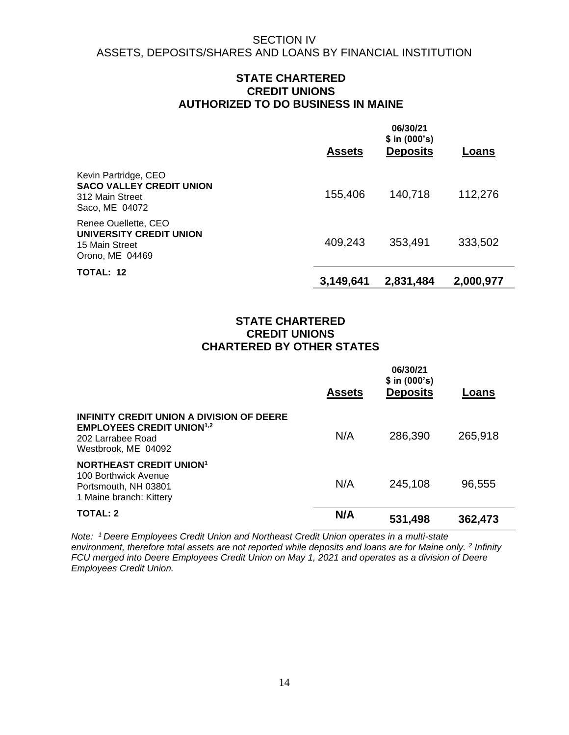## **STATE CHARTERED CREDIT UNIONS AUTHORIZED TO DO BUSINESS IN MAINE**

|                                                                                              | <b>Assets</b> | 06/30/21<br>$$$ in (000's)<br><b>Deposits</b> | Loans     |
|----------------------------------------------------------------------------------------------|---------------|-----------------------------------------------|-----------|
| Kevin Partridge, CEO<br><b>SACO VALLEY CREDIT UNION</b><br>312 Main Street<br>Saco, ME 04072 | 155,406       | 140,718                                       | 112,276   |
| Renee Ouellette, CEO<br><b>UNIVERSITY CREDIT UNION</b><br>15 Main Street<br>Orono, ME 04469  | 409,243       | 353,491                                       | 333,502   |
| TOTAL: 12                                                                                    | 3,149,641     | 2,831,484                                     | 2,000,977 |

## **STATE CHARTERED CREDIT UNIONS CHARTERED BY OTHER STATES**

|                                                                                                                                      | <b>Assets</b> | 06/30/21<br>$$$ in (000's)<br><b>Deposits</b> | Loans   |
|--------------------------------------------------------------------------------------------------------------------------------------|---------------|-----------------------------------------------|---------|
| INFINITY CREDIT UNION A DIVISION OF DEERE<br><b>EMPLOYEES CREDIT UNION<sup>1,2</sup></b><br>202 Larrabee Road<br>Westbrook, ME 04092 | N/A           | 286,390                                       | 265,918 |
| <b>NORTHEAST CREDIT UNION<sup>1</sup></b><br>100 Borthwick Avenue<br>Portsmouth, NH 03801<br>1 Maine branch: Kittery                 | N/A           | 245,108                                       | 96,555  |
| <b>TOTAL: 2</b>                                                                                                                      | N/A           | 531,498                                       | 362,473 |

*Note: <sup>1</sup>Deere Employees Credit Union and Northeast Credit Union operates in a multi-state*  environment, therefore total assets are not reported while deposits and loans are for Maine only. <sup>2</sup> Infinity *FCU merged into Deere Employees Credit Union on May 1, 2021 and operates as a division of Deere Employees Credit Union.*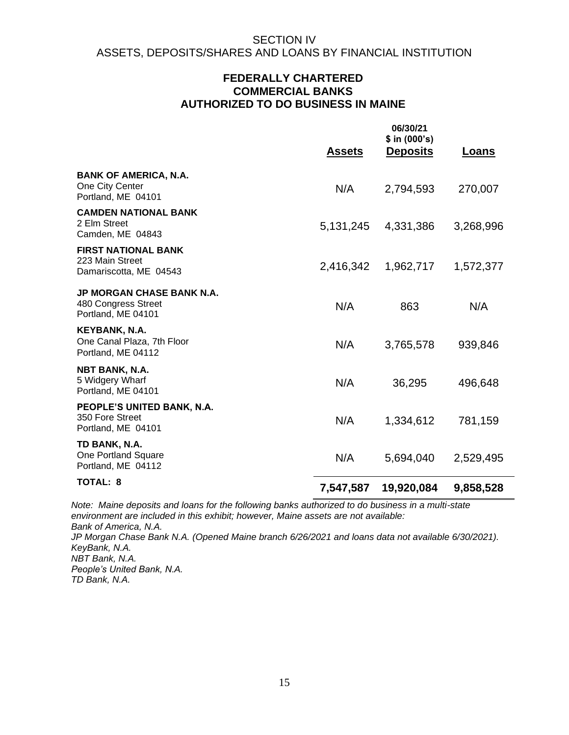## **FEDERALLY CHARTERED COMMERCIAL BANKS AUTHORIZED TO DO BUSINESS IN MAINE**

|                                                                               | <b>Assets</b> | 06/30/21<br>$$$ in (000's)<br><b>Deposits</b> | <b>Loans</b> |
|-------------------------------------------------------------------------------|---------------|-----------------------------------------------|--------------|
| <b>BANK OF AMERICA, N.A.</b><br>One City Center<br>Portland, ME 04101         | N/A           | 2,794,593                                     | 270,007      |
| <b>CAMDEN NATIONAL BANK</b><br>2 Elm Street<br>Camden, ME 04843               | 5, 131, 245   | 4,331,386                                     | 3,268,996    |
| <b>FIRST NATIONAL BANK</b><br>223 Main Street<br>Damariscotta, ME 04543       | 2,416,342     | 1,962,717                                     | 1,572,377    |
| <b>JP MORGAN CHASE BANK N.A.</b><br>480 Congress Street<br>Portland, ME 04101 | N/A           | 863                                           | N/A          |
| KEYBANK, N.A.<br>One Canal Plaza, 7th Floor<br>Portland, ME 04112             | N/A           | 3,765,578                                     | 939,846      |
| NBT BANK, N.A.<br>5 Widgery Wharf<br>Portland, ME 04101                       | N/A           | 36,295                                        | 496,648      |
| PEOPLE'S UNITED BANK, N.A.<br>350 Fore Street<br>Portland, ME 04101           | N/A           | 1,334,612                                     | 781,159      |
| TD BANK, N.A.<br>One Portland Square<br>Portland, ME 04112                    | N/A           | 5,694,040                                     | 2,529,495    |
| <b>TOTAL: 8</b>                                                               | 7,547,587     | 19,920,084                                    | 9,858,528    |

*Note: Maine deposits and loans for the following banks authorized to do business in a multi-state environment are included in this exhibit; however, Maine assets are not available: Bank of America, N.A. JP Morgan Chase Bank N.A. (Opened Maine branch 6/26/2021 and loans data not available 6/30/2021). KeyBank, N.A. NBT Bank, N.A. People's United Bank, N.A. TD Bank, N.A.*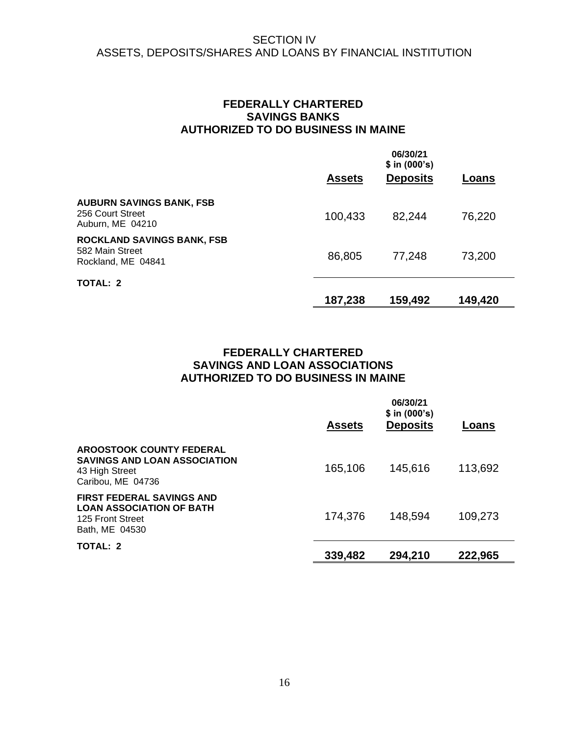## **FEDERALLY CHARTERED SAVINGS BANKS AUTHORIZED TO DO BUSINESS IN MAINE**

|                                                                            | <b>Assets</b> | 06/30/21<br>\$ in (000's)<br><b>Deposits</b> | Loans   |
|----------------------------------------------------------------------------|---------------|----------------------------------------------|---------|
| <b>AUBURN SAVINGS BANK, FSB</b><br>256 Court Street<br>Auburn, ME 04210    | 100,433       | 82,244                                       | 76,220  |
| <b>ROCKLAND SAVINGS BANK, FSB</b><br>582 Main Street<br>Rockland, ME 04841 | 86,805        | 77,248                                       | 73,200  |
| <b>TOTAL: 2</b>                                                            | 187,238       | 159,492                                      | 149,420 |

## **FEDERALLY CHARTERED SAVINGS AND LOAN ASSOCIATIONS AUTHORIZED TO DO BUSINESS IN MAINE**

|                                                                                                               | <b>Assets</b> | 06/30/21<br>\$ in (000's)<br><b>Deposits</b> | Loans   |
|---------------------------------------------------------------------------------------------------------------|---------------|----------------------------------------------|---------|
| <b>AROOSTOOK COUNTY FEDERAL</b><br><b>SAVINGS AND LOAN ASSOCIATION</b><br>43 High Street<br>Caribou, ME 04736 | 165,106       | 145,616                                      | 113,692 |
| <b>FIRST FEDERAL SAVINGS AND</b><br><b>LOAN ASSOCIATION OF BATH</b><br>125 Front Street<br>Bath, ME 04530     | 174,376       | 148,594                                      | 109,273 |
| <b>TOTAL: 2</b>                                                                                               | 339,482       | 294,210                                      | 222,965 |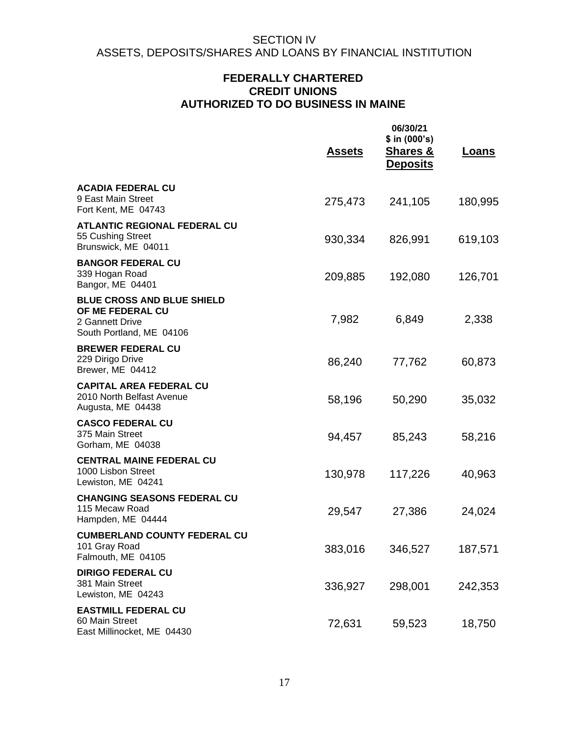## **FEDERALLY CHARTERED CREDIT UNIONS AUTHORIZED TO DO BUSINESS IN MAINE**

|                                                                                                      | <u>Assets</u> | 06/30/21<br>\$ in (000's)<br><b>Shares &amp;</b><br><b>Deposits</b> | <u>Loans</u> |
|------------------------------------------------------------------------------------------------------|---------------|---------------------------------------------------------------------|--------------|
| <b>ACADIA FEDERAL CU</b><br>9 East Main Street<br>Fort Kent, ME 04743                                | 275,473       | 241,105                                                             | 180,995      |
| <b>ATLANTIC REGIONAL FEDERAL CU</b><br>55 Cushing Street<br>Brunswick, ME 04011                      | 930,334       | 826,991                                                             | 619,103      |
| <b>BANGOR FEDERAL CU</b><br>339 Hogan Road<br>Bangor, ME 04401                                       | 209,885       | 192,080                                                             | 126,701      |
| <b>BLUE CROSS AND BLUE SHIELD</b><br>OF ME FEDERAL CU<br>2 Gannett Drive<br>South Portland, ME 04106 | 7,982         | 6,849                                                               | 2,338        |
| <b>BREWER FEDERAL CU</b><br>229 Dirigo Drive<br>Brewer, ME 04412                                     | 86,240        | 77,762                                                              | 60,873       |
| <b>CAPITAL AREA FEDERAL CU</b><br>2010 North Belfast Avenue<br>Augusta, ME 04438                     | 58,196        | 50,290                                                              | 35,032       |
| <b>CASCO FEDERAL CU</b><br>375 Main Street<br>Gorham, ME 04038                                       | 94,457        | 85,243                                                              | 58,216       |
| <b>CENTRAL MAINE FEDERAL CU</b><br>1000 Lisbon Street<br>Lewiston, ME 04241                          | 130,978       | 117,226                                                             | 40,963       |
| <b>CHANGING SEASONS FEDERAL CU</b><br>115 Mecaw Road<br>Hampden, ME 04444                            | 29,547        | 27,386                                                              | 24,024       |
| <b>CUMBERLAND COUNTY FEDERAL CU</b><br>101 Gray Road<br>Falmouth, ME 04105                           | 383,016       | 346,527                                                             | 187,571      |
| <b>DIRIGO FEDERAL CU</b><br>381 Main Street<br>Lewiston, ME 04243                                    | 336,927       | 298,001                                                             | 242,353      |
| <b>EASTMILL FEDERAL CU</b><br>60 Main Street<br>East Millinocket, ME 04430                           | 72,631        | 59,523                                                              | 18,750       |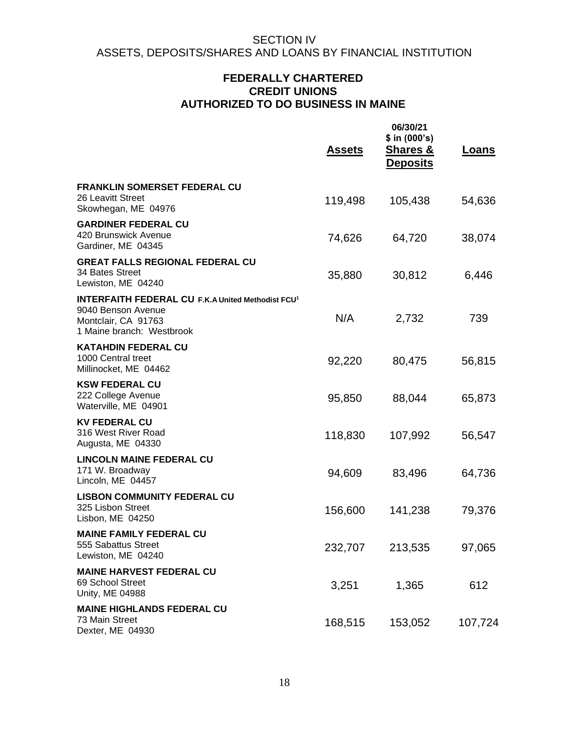## **FEDERALLY CHARTERED CREDIT UNIONS AUTHORIZED TO DO BUSINESS IN MAINE**

|                                                                                                                                    | <u>Assets</u> | 06/30/21<br>\$ in (000's)<br><b>Shares &amp;</b><br><b>Deposits</b> | <b>Loans</b> |
|------------------------------------------------------------------------------------------------------------------------------------|---------------|---------------------------------------------------------------------|--------------|
| <b>FRANKLIN SOMERSET FEDERAL CU</b><br>26 Leavitt Street<br>Skowhegan, ME 04976                                                    | 119,498       | 105,438                                                             | 54,636       |
| <b>GARDINER FEDERAL CU</b><br>420 Brunswick Avenue<br>Gardiner, ME 04345                                                           | 74,626        | 64,720                                                              | 38,074       |
| <b>GREAT FALLS REGIONAL FEDERAL CU</b><br>34 Bates Street<br>Lewiston, ME 04240                                                    | 35,880        | 30,812                                                              | 6,446        |
| <b>INTERFAITH FEDERAL CU F.K.A United Methodist FCU1</b><br>9040 Benson Avenue<br>Montclair, CA 91763<br>1 Maine branch: Westbrook | N/A           | 2,732                                                               | 739          |
| <b>KATAHDIN FEDERAL CU</b><br>1000 Central treet<br>Millinocket, ME 04462                                                          | 92,220        | 80,475                                                              | 56,815       |
| <b>KSW FEDERAL CU</b><br>222 College Avenue<br>Waterville, ME 04901                                                                | 95,850        | 88,044                                                              | 65,873       |
| <b>KV FEDERAL CU</b><br>316 West River Road<br>Augusta, ME 04330                                                                   | 118,830       | 107,992                                                             | 56,547       |
| <b>LINCOLN MAINE FEDERAL CU</b><br>171 W. Broadway<br>Lincoln, ME 04457                                                            | 94,609        | 83,496                                                              | 64,736       |
| <b>LISBON COMMUNITY FEDERAL CU</b><br>325 Lisbon Street<br>Lisbon, ME 04250                                                        | 156,600       | 141,238                                                             | 79,376       |
| <b>MAINE FAMILY FEDERAL CU</b><br>555 Sabattus Street<br>Lewiston, ME 04240                                                        | 232,707       | 213,535                                                             | 97,065       |
| <b>MAINE HARVEST FEDERAL CU</b><br>69 School Street<br>Unity, ME 04988                                                             | 3,251         | 1,365                                                               | 612          |
| <b>MAINE HIGHLANDS FEDERAL CU</b><br>73 Main Street<br>Dexter, ME 04930                                                            | 168,515       | 153,052                                                             | 107,724      |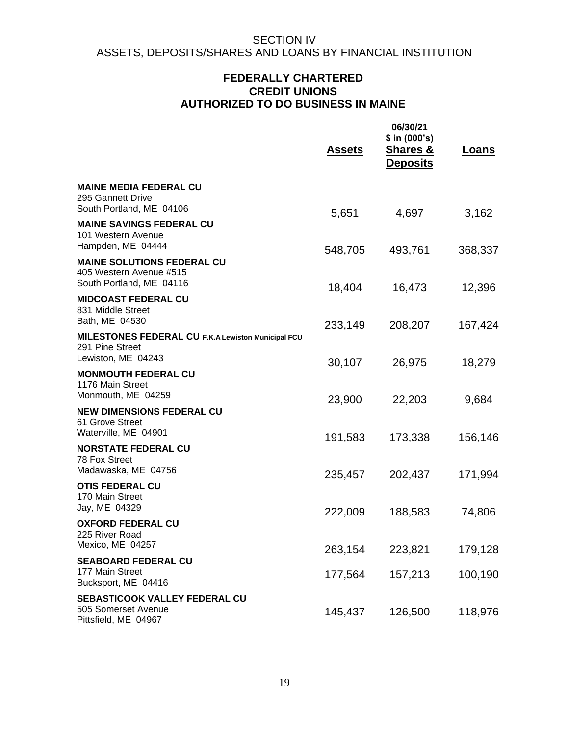## **FEDERALLY CHARTERED CREDIT UNIONS AUTHORIZED TO DO BUSINESS IN MAINE**

|                                                                                             | <u>Assets</u>      | 06/30/21<br>\$ in (000's)<br><b>Shares &amp;</b><br><b>Deposits</b> | <u>Loans</u>       |
|---------------------------------------------------------------------------------------------|--------------------|---------------------------------------------------------------------|--------------------|
| <b>MAINE MEDIA FEDERAL CU</b><br>295 Gannett Drive<br>South Portland, ME 04106              | 5,651              | 4,697                                                               | 3,162              |
| <b>MAINE SAVINGS FEDERAL CU</b><br>101 Western Avenue<br>Hampden, ME 04444                  | 548,705            | 493,761                                                             | 368,337            |
| <b>MAINE SOLUTIONS FEDERAL CU</b><br>405 Western Avenue #515<br>South Portland, ME 04116    | 18,404             | 16,473                                                              | 12,396             |
| <b>MIDCOAST FEDERAL CU</b><br>831 Middle Street<br>Bath, ME 04530                           | 233,149            | 208,207                                                             | 167,424            |
| MILESTONES FEDERAL CU F.K.A Lewiston Municipal FCU<br>291 Pine Street<br>Lewiston, ME 04243 | 30,107             | 26,975                                                              | 18,279             |
| <b>MONMOUTH FEDERAL CU</b><br>1176 Main Street<br>Monmouth, ME 04259                        | 23,900             | 22,203                                                              | 9,684              |
| <b>NEW DIMENSIONS FEDERAL CU</b><br>61 Grove Street<br>Waterville, ME 04901                 |                    |                                                                     |                    |
| <b>NORSTATE FEDERAL CU</b><br>78 Fox Street<br>Madawaska, ME 04756                          | 191,583            | 173,338                                                             | 156,146            |
| <b>OTIS FEDERAL CU</b><br>170 Main Street<br>Jay, ME 04329                                  | 235,457            | 202,437                                                             | 171,994            |
| <b>OXFORD FEDERAL CU</b><br>225 River Road                                                  | 222,009            | 188,583                                                             | 74,806             |
| Mexico, ME 04257<br><b>SEABOARD FEDERAL CU</b><br>177 Main Street<br>Bucksport, ME 04416    | 263,154<br>177,564 | 223,821<br>157,213                                                  | 179,128<br>100,190 |
| SEBASTICOOK VALLEY FEDERAL CU<br>505 Somerset Avenue<br>Pittsfield, ME 04967                | 145,437            | 126,500                                                             | 118,976            |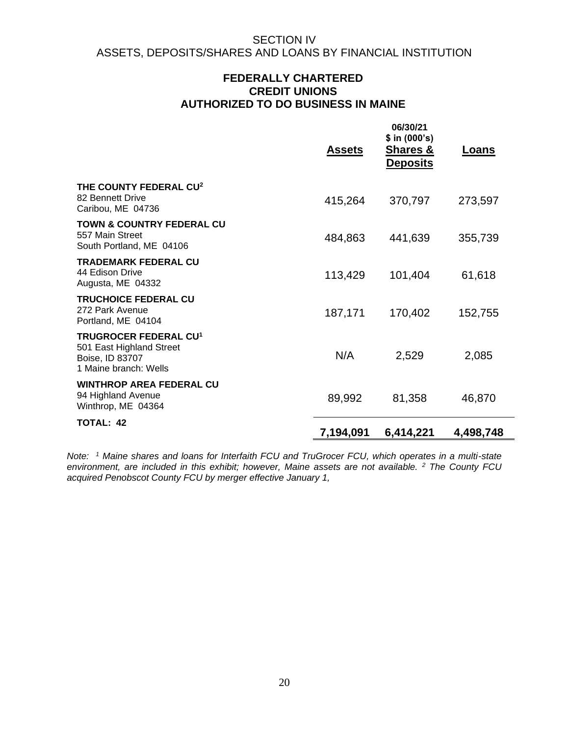## **FEDERALLY CHARTERED CREDIT UNIONS AUTHORIZED TO DO BUSINESS IN MAINE**

|                                                                                                                 | <b>Assets</b> | 06/30/21<br>$$$ in (000's)<br><b>Shares &amp;</b><br><b>Deposits</b> | <u>Loans</u> |
|-----------------------------------------------------------------------------------------------------------------|---------------|----------------------------------------------------------------------|--------------|
| THE COUNTY FEDERAL CU <sup>2</sup><br>82 Bennett Drive<br>Caribou, ME 04736                                     | 415,264       | 370,797                                                              | 273,597      |
| <b>TOWN &amp; COUNTRY FEDERAL CU</b><br>557 Main Street<br>South Portland, ME 04106                             | 484,863       | 441,639                                                              | 355,739      |
| <b>TRADEMARK FEDERAL CU</b><br>44 Edison Drive<br>Augusta, ME 04332                                             | 113,429       | 101,404                                                              | 61,618       |
| <b>TRUCHOICE FEDERAL CU</b><br>272 Park Avenue<br>Portland, ME 04104                                            | 187,171       | 170,402                                                              | 152,755      |
| <b>TRUGROCER FEDERAL CU<sup>1</sup></b><br>501 East Highland Street<br>Boise, ID 83707<br>1 Maine branch: Wells | N/A           | 2,529                                                                | 2,085        |
| <b>WINTHROP AREA FEDERAL CU</b><br>94 Highland Avenue<br>Winthrop, ME 04364                                     | 89,992        | 81,358                                                               | 46,870       |
| <b>TOTAL: 42</b>                                                                                                | 7,194,091     | 6,414,221                                                            | 4,498,748    |

*Note: <sup>1</sup> Maine shares and loans for Interfaith FCU and TruGrocer FCU, which operates in a multi-state environment, are included in this exhibit; however, Maine assets are not available. <sup>2</sup> The County FCU acquired Penobscot County FCU by merger effective January 1,*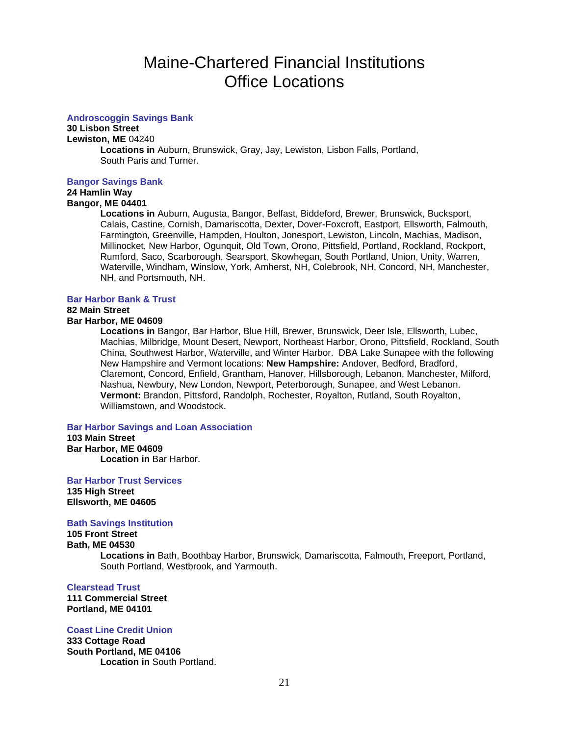#### **Androscoggin Savings Bank**

**30 Lisbon Street**

**Lewiston, ME** 04240

**Locations in** Auburn, Brunswick, Gray, Jay, Lewiston, Lisbon Falls, Portland, South Paris and Turner.

#### **Bangor Savings Bank**

## **24 Hamlin Way**

## **Bangor, ME 04401**

**Locations in** Auburn, Augusta, Bangor, Belfast, Biddeford, Brewer, Brunswick, Bucksport, Calais, Castine, Cornish, Damariscotta, Dexter, Dover-Foxcroft, Eastport, Ellsworth, Falmouth, Farmington, Greenville, Hampden, Houlton, Jonesport, Lewiston, Lincoln, Machias, Madison, Millinocket, New Harbor, Ogunquit, Old Town, Orono, Pittsfield, Portland, Rockland, Rockport, Rumford, Saco, Scarborough, Searsport, Skowhegan, South Portland, Union, Unity, Warren, Waterville, Windham, Winslow, York, Amherst, NH, Colebrook, NH, Concord, NH, Manchester, NH, and Portsmouth, NH.

#### **Bar Harbor Bank & Trust**

## **82 Main Street**

### **Bar Harbor, ME 04609**

**Locations in** Bangor, Bar Harbor, Blue Hill, Brewer, Brunswick, Deer Isle, Ellsworth, Lubec, Machias, Milbridge, Mount Desert, Newport, Northeast Harbor, Orono, Pittsfield, Rockland, South China, Southwest Harbor, Waterville, and Winter Harbor. DBA Lake Sunapee with the following New Hampshire and Vermont locations: **New Hampshire:** Andover, Bedford, Bradford, Claremont, Concord, Enfield, Grantham, Hanover, Hillsborough, Lebanon, Manchester, Milford, Nashua, Newbury, New London, Newport, Peterborough, Sunapee, and West Lebanon. **Vermont:** Brandon, Pittsford, Randolph, Rochester, Royalton, Rutland, South Royalton, Williamstown, and Woodstock.

#### **Bar Harbor Savings and Loan Association**

**103 Main Street Bar Harbor, ME 04609 Location in** Bar Harbor.

**Bar Harbor Trust Services 135 High Street Ellsworth, ME 04605**

#### **Bath Savings Institution**

#### **105 Front Street Bath, ME 04530 Locations in** Bath, Boothbay Harbor, Brunswick, Damariscotta, Falmouth, Freeport, Portland, South Portland, Westbrook, and Yarmouth.

#### **Clearstead Trust**

**111 Commercial Street Portland, ME 04101**

#### **Coast Line Credit Union**

**333 Cottage Road South Portland, ME 04106 Location in** South Portland.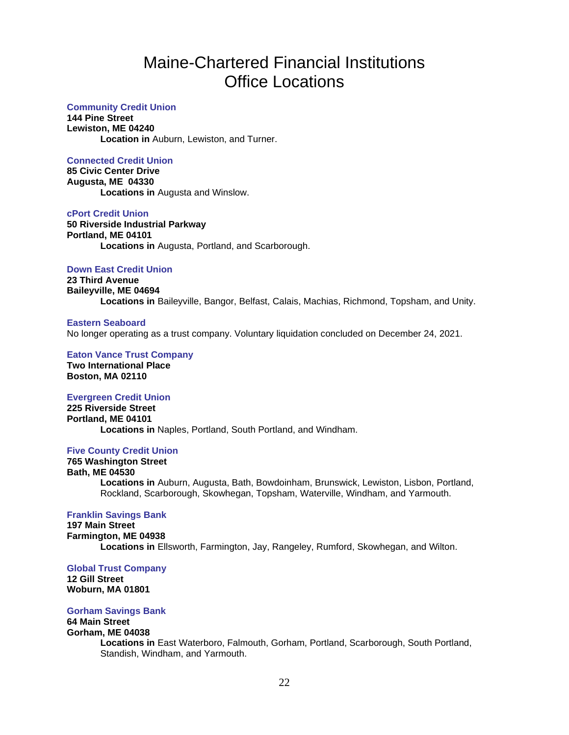#### **Community Credit Union**

**144 Pine Street Lewiston, ME 04240 Location in** Auburn, Lewiston, and Turner.

#### **Connected Credit Union**

**85 Civic Center Drive Augusta, ME 04330 Locations in** Augusta and Winslow.

**cPort Credit Union 50 Riverside Industrial Parkway Portland, ME 04101 Locations in** Augusta, Portland, and Scarborough.

#### **Down East Credit Union**

**23 Third Avenue Baileyville, ME 04694 Locations in** Baileyville, Bangor, Belfast, Calais, Machias, Richmond, Topsham, and Unity.

#### **Eastern Seaboard**

No longer operating as a trust company. Voluntary liquidation concluded on December 24, 2021.

**Eaton Vance Trust Company Two International Place Boston, MA 02110**

### **Evergreen Credit Union**

**225 Riverside Street Portland, ME 04101 Locations in** Naples, Portland, South Portland, and Windham.

#### **Five County Credit Union**

**765 Washington Street Bath, ME 04530 Locations in** Auburn, Augusta, Bath, Bowdoinham, Brunswick, Lewiston, Lisbon, Portland, Rockland, Scarborough, Skowhegan, Topsham, Waterville, Windham, and Yarmouth.

#### **Franklin Savings Bank**

**197 Main Street Farmington, ME 04938 Locations in** Ellsworth, Farmington, Jay, Rangeley, Rumford, Skowhegan, and Wilton.

#### **Global Trust Company**

**12 Gill Street Woburn, MA 01801**

#### **Gorham Savings Bank**

#### **64 Main Street Gorham, ME 04038**

**Locations in** East Waterboro, Falmouth, Gorham, Portland, Scarborough, South Portland, Standish, Windham, and Yarmouth.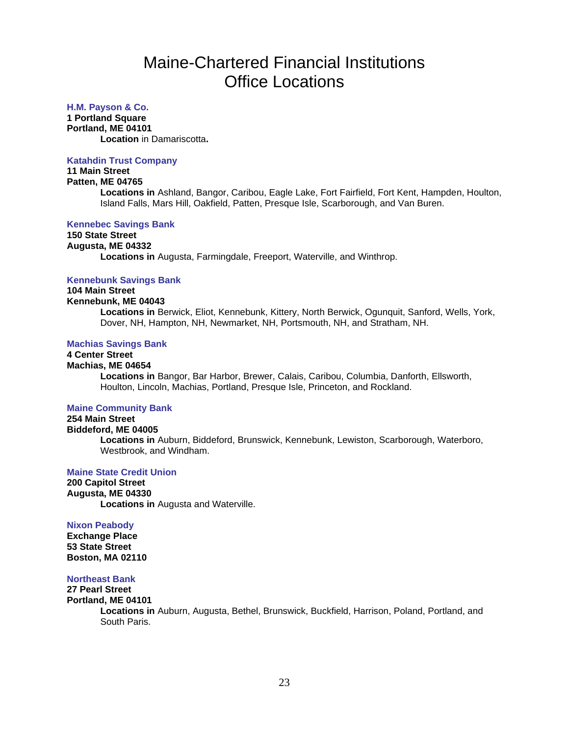#### **H.M. Payson & Co.**

**1 Portland Square**

**Portland, ME 04101**

**Location** in Damariscotta**.**

#### **Katahdin Trust Company**

## **11 Main Street**

**Patten, ME 04765**

**Locations in** Ashland, Bangor, Caribou, Eagle Lake, Fort Fairfield, Fort Kent, Hampden, Houlton, Island Falls, Mars Hill, Oakfield, Patten, Presque Isle, Scarborough, and Van Buren.

#### **Kennebec Savings Bank**

#### **150 State Street Augusta, ME 04332 Locations in** Augusta, Farmingdale, Freeport, Waterville, and Winthrop.

#### **Kennebunk Savings Bank**

## **104 Main Street**

#### **Kennebunk, ME 04043**

**Locations in** Berwick, Eliot, Kennebunk, Kittery, North Berwick, Ogunquit, Sanford, Wells, York, Dover, NH, Hampton, NH, Newmarket, NH, Portsmouth, NH, and Stratham, NH.

#### **Machias Savings Bank**

## **4 Center Street**

#### **Machias, ME 04654**

**Locations in** Bangor, Bar Harbor, Brewer, Calais, Caribou, Columbia, Danforth, Ellsworth, Houlton, Lincoln, Machias, Portland, Presque Isle, Princeton, and Rockland.

#### **Maine Community Bank**

## **254 Main Street**

#### **Biddeford, ME 04005**

**Locations in** Auburn, Biddeford, Brunswick, Kennebunk, Lewiston, Scarborough, Waterboro, Westbrook, and Windham.

#### **Maine State Credit Union**

**200 Capitol Street Augusta, ME 04330 Locations in** Augusta and Waterville.

#### **Nixon Peabody**

**Exchange Place 53 State Street Boston, MA 02110**

#### **Northeast Bank**

#### **27 Pearl Street Portland, ME 04101**

**Locations in** Auburn, Augusta, Bethel, Brunswick, Buckfield, Harrison, Poland, Portland, and South Paris.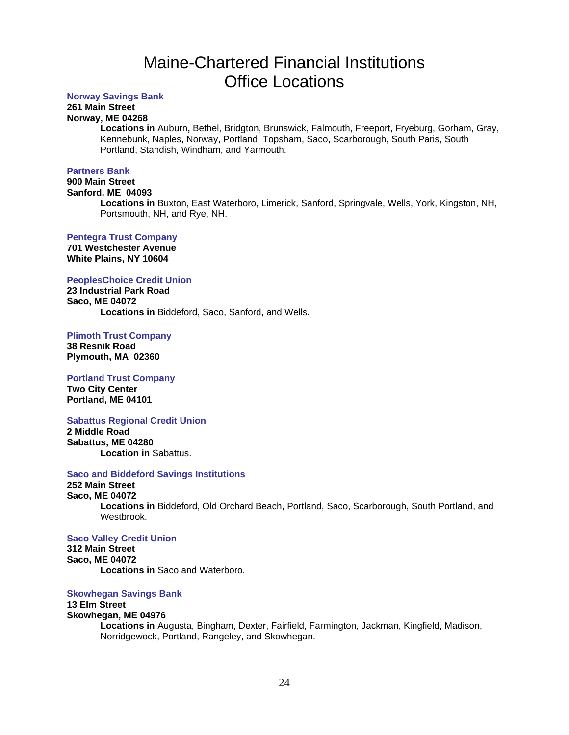#### **Norway Savings Bank**

## **261 Main Street**

### **Norway, ME 04268**

**Locations in** Auburn**,** Bethel, Bridgton, Brunswick, Falmouth, Freeport, Fryeburg, Gorham, Gray, Kennebunk, Naples, Norway, Portland, Topsham, Saco, Scarborough, South Paris, South Portland, Standish, Windham, and Yarmouth.

#### **Partners Bank**

## **900 Main Street**

### **Sanford, ME 04093**

**Locations in** Buxton, East Waterboro, Limerick, Sanford, Springvale, Wells, York, Kingston, NH, Portsmouth, NH, and Rye, NH.

#### **Pentegra Trust Company**

**701 Westchester Avenue White Plains, NY 10604**

#### **PeoplesChoice Credit Union**

**23 Industrial Park Road Saco, ME 04072 Locations in** Biddeford, Saco, Sanford, and Wells.

**Plimoth Trust Company**

**38 Resnik Road Plymouth, MA 02360**

#### **Portland Trust Company**

**Two City Center Portland, ME 04101**

#### **Sabattus Regional Credit Union**

**2 Middle Road Sabattus, ME 04280 Location in** Sabattus.

#### **Saco and Biddeford Savings Institutions**

### **252 Main Street**

#### **Saco, ME 04072**

**Locations in** Biddeford, Old Orchard Beach, Portland, Saco, Scarborough, South Portland, and Westbrook.

#### **Saco Valley Credit Union**

**312 Main Street Saco, ME 04072 Locations in** Saco and Waterboro.

#### **Skowhegan Savings Bank**

#### **13 Elm Street Skowhegan, ME 04976**

**Locations in** Augusta, Bingham, Dexter, Fairfield, Farmington, Jackman, Kingfield, Madison, Norridgewock, Portland, Rangeley, and Skowhegan.